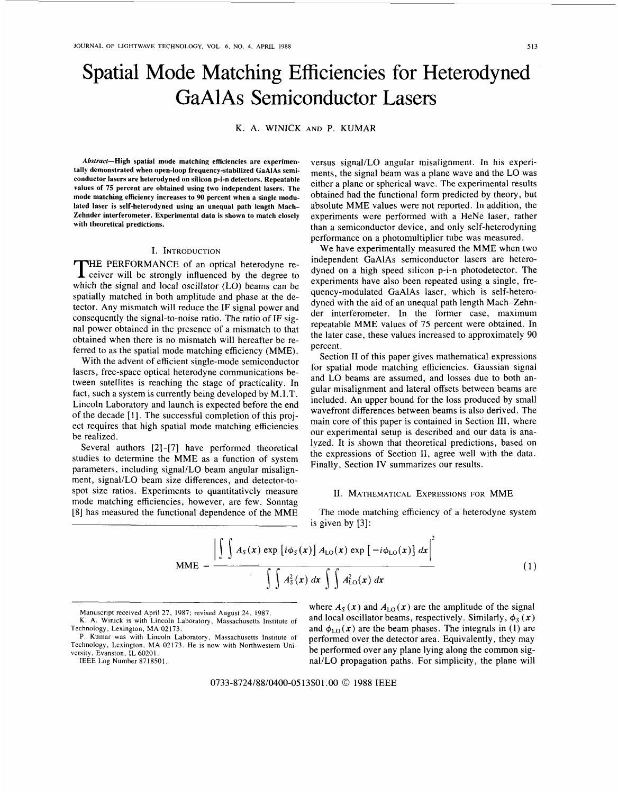# Spatial Mode Matching Efficiencies for Heterodyned **GaAlAs** Semiconductor Lasers

K. A. WINICK AND P. KUMAR

**Abstract-High spatial mode matching efficiencies are experimentally demonstrated when open-loop frequency-stabilized GaAlAs semiconductor lasers are heterodyned on silicon p-i-n detectors. Repeatable values of 75 percent are obtained using two independent lasers. The mode matching efficiency increases to 90 percent when a single modulated laser is self-heterodyned using an unequal path length Mach-Zehnder interferometer. Experimental data is shown to match closely with theoretical predictions.** 

## I. INTRODUCTION

THE PERFORMANCE of an optical heterodyne receiver will be strongly influenced by the degree to which the signal and local oscillator (LO) beams can be spatially matched in both amplitude and phase at the detector. Any mismatch will reduce the IF signal power and consequently the signal-to-noise ratio. The ratio of IF signal power obtained in the presence of a mismatch to that obtained when there is no mismatch will hereafter be referred to as the spatial mode matching efficiency (MME).

With the advent of efficient single-mode semiconductor lasers, free-space optical heterodyne communications between satellites is reaching the stage of practicality. In fact, such a system is currently being developed by M.I.T. Lincoln Laboratory and launch is expected before the end of the decade [ **13.** The successful completion of this project requires that high spatial mode matching efficiencies be realized.

Several authors [2]-[7] have performed theoretical studies to determine the MME as a function of system parameters, including signal/LO beam angular misalignment, signal/LO beam size differences, and detector-tospot size ratios. Experiments to quantitatively measure mode matching efficiencies, however, are few. Sonntag [8] has measured the functional dependence of the MME

versus signal/LO angular misalignment. In his experiments, the signal beam was a plane wave and the LO was either a plane or spherical wave. The experimental results obtained had the functional form predicted by theory, but absolute MME values were not reported. In addition, the experiments were performed with a HeNe laser, rather than a semiconductor device, and only self-heterodyning performance on a photomultiplier tube was measured.

We have experimentally measured the MME when two independent GaAlAs semiconductor lasers are heterodyned on a high speed silicon p-i-n photodetector. The experiments have also been repeated using a single, frequency-modulated GaAlAs laser, which is self-heterodyned with the aid of an unequal path length Mach-Zehnder interferometer. In the former case, maximum repeatable MME values of 75 percent were obtained. In the later case, these values increased to approximately 90 percent.

Section **I1** of this paper gives mathematical expressions for spatial mode matching efficiencies. Gaussian signal and LO beams are assumed, and losses due to both angular misalignment and lateral offsets between beams are included. An upper bound for the loss produced by small wavefront differences between beams is also derived. The main core of this paper is contained in Section 111, where our experimental setup is described and our data is analyzed. It is shown that theoretical predictions, based on the expressions of Section 11, agree well with the data. Finally, Section IV summarizes our results.

#### 11. MATHEMATICAL **EXPRESSIONS** FOR MME

The mode matching efficiency of a heterodyne system is given by **[3]:** 

$$
\text{MME} = \frac{\left| \int \int A_S(x) \exp \left[ i \phi_S(x) \right] A_{\text{LO}}(x) \exp \left[ -i \phi_{\text{LO}}(x) \right] dx \right|^2}{\int \int A_S^2(x) dx \int \int A_{\text{LO}}^2(x) dx}
$$
(1)

Manuscript received April 27, 1987; revised August 24, 1987.

where  $A_S(x)$  and  $A_{LO}(x)$  are the amplitude of the signal and local oscillator beams, respectively. Similarly,  $\phi_S(x)$ and  $\phi_{LO}(x)$  are the beam phases. The integrals in (1) are P. Kumar was with Lincoln Laboratory, Massachusetts Institute of performed over the detector area. Equivalently, they may Technology, Lexington, MA 02173. He is now with Northwestern Uni-<br>versity, Evanston, IL 60201. versity, Evangton, it 60201.<br>
EVALUE EXAMPLE ENGLANDED FOR STATISSON.<br>
EVALUE EXAMPLE ENGLANDED FOR SIMPLICITY, the plane will<br>
ELEE Log Number 8718501. nal/LO propagation paths. For simplicity, the plane will

0733-8724/88/0400-0513\$01 .OO @ 1988 IEEE

K. A. Winick is with Lincoln Laboratory, Massachusetts institute of Technology, Lexington, MA 02173.

p. Kumar was with Lincoln Laboratory, Massachusetts Institute of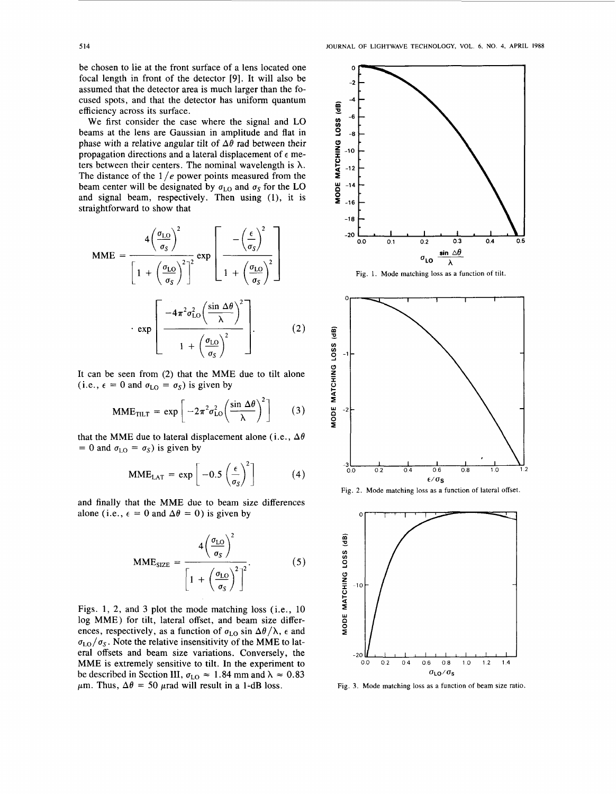be chosen to lie at the front surface of a lens located one focal length in front of the detector [9]. It will also be assumed that the detector area is much larger than the focused spots, and that the detector has uniform quantum efficiency across its surface.

We first consider the case where the signal and **LO**  beams at the lens are Gaussian in amplitude and flat in phase with a relative angular tilt of  $\Delta\theta$  rad between their propagation directions and a lateral displacement of *E* meters between their centers. The nominal wavelength is  $\lambda$ . The distance of the 1 */e* power points measured from the beam center will be designated by  $\sigma_{LO}$  and  $\sigma_S$  for the LO and signal beam, respectively. Then using (l), it is straightforward to show that

$$
\text{MME} = \frac{4\left(\frac{\sigma_{\text{LO}}}{\sigma_{\text{S}}}\right)^2}{\left[1 + \left(\frac{\sigma_{\text{LO}}}{\sigma_{\text{S}}}\right)^2\right]^2} \exp\left[\frac{-\left(\frac{\epsilon}{\sigma_{\text{S}}}\right)^2}{1 + \left(\frac{\sigma_{\text{LO}}}{\sigma_{\text{S}}}\right)^2}\right]
$$

$$
\cdot \exp\left[\frac{-4\pi^2\sigma_{\text{LO}}^2\left(\frac{\sin\Delta\theta}{\lambda}\right)^2}{1 + \left(\frac{\sigma_{\text{LO}}}{\sigma_{\text{S}}}\right)^2}\right].
$$
(2)

It can be seen from (2) that the **MME** due to tilt alone (i.e.,  $\epsilon = 0$  and  $\sigma_{LO} = \sigma_S$ ) is given by

$$
MME_{TILT} = \exp\left[-2\pi^2 \sigma_{LO}^2 \left(\frac{\sin \Delta \theta}{\lambda}\right)^2\right]
$$
 (3)

that the MME due to lateral displacement alone (i.e.,  $\Delta\theta$  $= 0$  and  $\sigma_{LO} = \sigma_S$ ) is given by

$$
MME_{LAT} = \exp\left[-0.5\left(\frac{\epsilon}{\sigma_S}\right)^2\right]
$$
 (4)

and finally that the **MME** due to beam size differences alone (i.e.,  $\epsilon = 0$  and  $\Delta \theta = 0$ ) is given by

$$
MME_{\text{SIZE}} = \frac{4\left(\frac{\sigma_{\text{LO}}}{\sigma_{\text{S}}}\right)^2}{\left[1 + \left(\frac{\sigma_{\text{LO}}}{\sigma_{\text{S}}}\right)^2\right]^2}.
$$
 (5)

Figs. 1, 2, and *3* plot the mode matching loss (i.e., 10 log **MME)** for tilt, lateral offset, and beam size differences, respectively, as a function of  $\sigma_{LO}$  sin  $\Delta\theta/\lambda$ ,  $\epsilon$  and  $\sigma_{\text{LO}}/\sigma_s$ . Note the relative insensitivity of the MME to lateral offsets and beam size variations. Conversely, the **MME** is extremely sensitive to tilt. In the experiment to be described in Section III,  $\sigma_{LO} \approx 1.84$  mm and  $\lambda \approx 0.83$  $\mu$ m. Thus,  $\Delta\theta = 50$   $\mu$ rad will result in a 1-dB loss.



**Fig. 1. Mode matching** loss **as a function of tilt.** 







**Fig. 3. Mode matching** loss **as a function of beam size ratio.**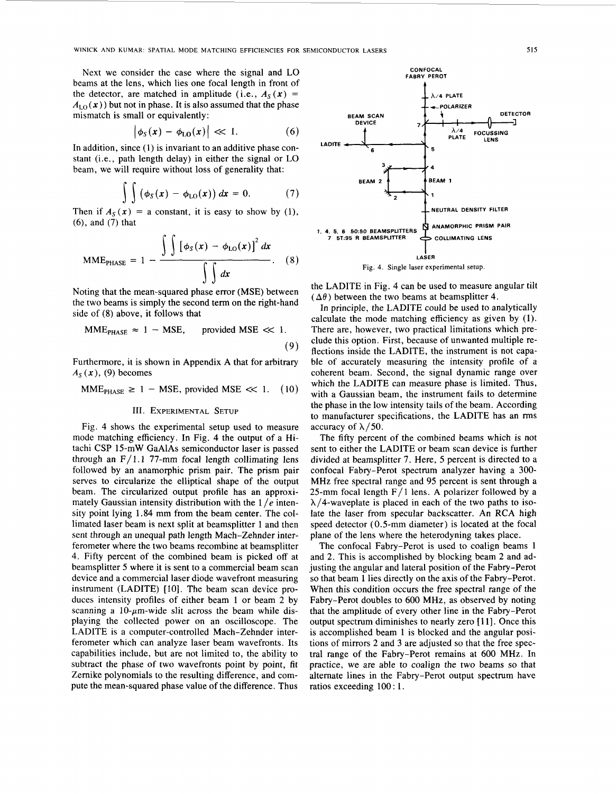<span id="page-2-0"></span>Next we consider the case where the signal and LO beams at the lens, which lies one focal length in front of the detector, are matched in amplitude (i.e.,  $A_S(x)$  =  $A<sub>LO</sub>(x)$ ) but not in phase. It is also assumed that the phase mismatch is small or equivalently:

$$
\left|\phi_{\rm S}(x)-\phi_{\rm LO}(x)\right|\ll 1.\tag{6}
$$

In addition, since (1) is invariant to an additive phase constant (i.e., path length delay) in either the signal or LO beam, we will require without loss of generality that:

$$
\int \int \left( \phi_S(x) - \phi_{LO}(x) \right) dx = 0. \tag{7}
$$

Then if  $A_s(x) = a$  constant, it is easy to show by (1), *(6),* and (7) that

$$
MMEPHASE = 1 - \frac{\int \int [\phi_S(x) - \phi_{LO}(x)]^2 dx}{\int dx}
$$
.\n\n(8)  
\nNoting that the mean-squared phase error (MSE) between

the two beams is simply the second term on the right-hand side of **(8)** above, it follows that

$$
MMEPHASE \approx 1 - MSE, provided MSE \ll 1.
$$
\n(9)

Furthermore, it is shown in Appendix A that for arbitrary  $A_S(x)$ , (9) becomes

$$
MMEPHASE \ge 1 - MSE, provided MSE \ll 1. (10)
$$

## 111. **EXPERIMENTAL SETUP**

Fig. **4** shows the experimental setup used to measure mode matching efficiency. In Fig. **4** the output of a Hitachi CSP 15-mW GaAlAs semiconductor laser is passed through an  $F/1.1$  77-mm focal length collimating lens followed by an anamorphic prism pair. The prism pair serves to circularize the elliptical shape of the output beam. The circularized output profile has an approximately Gaussian intensity distribution with the 1 */e* intensity point lying 1.84 mm from the beam center. The collimated laser beam is next split at beamsplitter 1 and then **sent** through an unequal path length Mach-Zehnder interferometer where the two beams recombine at beamsplitter **4.** Fifty percent of the combined beam is picked off at beamsplitter *5* where it is sent to a commercial beam scan device and a commercial laser diode wavefront measuring instrument (LADITE) [IO]. The beam scan device produces intensity profiles of either beam 1 or beam 2 by scanning a  $10$ - $\mu$ m-wide slit across the beam while displaying the collected power on an oscilloscope. The LADITE is a computer-controlled Mach-Zehnder interferometer which can analyze laser beam wavefronts. Its capabilities include, but are not limited to, the ability to subtract the phase of two wavefronts point by point, fit Zernike polynomials to the resulting difference, and compute the mean-squared phase value **of** the difference. Thus



the LADITE in Fig. 4 can be used to measure angular tilt  $(\Delta \theta)$  between the two beams at beamsplitter 4.

In principle, the LADITE could be used to analytically calculate the mode matching efficiency as given by (I). There are, however, two practical limitations which preclude this option. First, because of unwanted multiple reflections inside the LADITE, the instrument is not capable of accurately measuring the intensity profile of a coherent beam. Second, the signal dynamic range over which the LADITE can measure phase is limited. Thus, with a Gaussian beam, the instrument fails to determine the phase in the low intensity tails of the beam. According to manufacturer specifications, the LADITE has an rms accuracy of  $\lambda$ /50.

The fifty percent of the combined beams which is not sent to either the LADITE or beam scan device is further divided at beamsplitter 7. Here, *5* percent is directed to a confocal Fabry-Perot spectrum analyzer having a 300- MHz free spectral range and 95 percent is sent through a 25-mm focal length  $F/1$  lens. A polarizer followed by a  $\lambda$ /4-waveplate is placed in each of the two paths to isolate the laser from specular backscatter. An RCA high speed detector (0.5-mm diameter) is located at the focal plane of the lens where the heterodyning takes place.

The confocal Fabry-Perot is used to coalign beams 1 and **2.** This is accomplished by blocking beam **2** and adjusting the angular and lateral position of the Fabry-Perot so that beam 1 lies directly on the axis of the Fabry-Perot. When this condition occurs the free spectral range of the Fabry-Perot doubles to 600 MHz, as observed by noting that the amplitude of every other line in the Fabry-Perot output spectrum diminishes to nearly zero [ 111. Once this is accomplished beam 1 is blocked and the angular positions of mirrors 2 and **3** are adjusted so that the free spectral range of the Fabry-Perot remains at 600 MHz. In practice, we are able to coalign the two beams so that alternate lines in the Fabry-Perot output spectrum have ratios exceeding 100 : 1.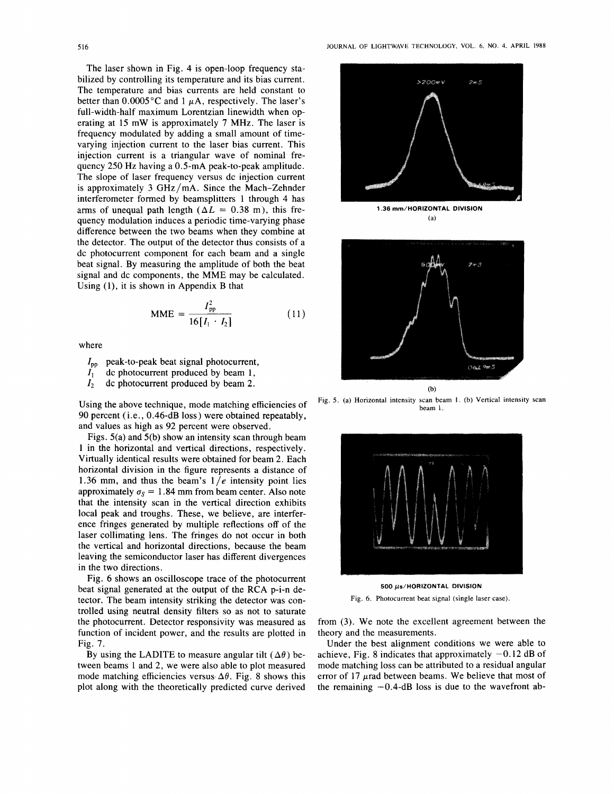The laser shown in [Fig. 4](#page-2-0) is open-loop frequency stabilized by controlling its temperature and its bias current. The temperature and bias currents are held constant to better than  $0.0005^{\circ}$ C and 1  $\mu$ A, respectively. The laser's full-width-half maximum Lorentzian linewidth when operating at 15 mW is approximately 7 MHz. The laser is frequency modulated by adding a small amount of timevarying injection current to the laser bias current. This injection current is a triangular wave of nominal frequency 250 Hz having a 0.5-mA peak-to-peak amplitude. The slope of laser frequency versus dc injection current is approximately *3* GHz/mA. Since the Mach-Zehnder interferometer formed by beamsplitters 1 through **4** has arms of unequal path length  $(\Delta L = 0.38 \text{ m})$ , this frequency modulation induces a periodic time-varying phase difference between the two beams when they combine at the detector. The output of the detector thus consists of a dc photocurrent component for each beam and a single beat signal. By measuring the amplitude of both the beat signal and dc components, the MME may be calculated. Using **(l),** it is shown in Appendix B that

$$
MME = \frac{I_{\text{pp}}^2}{16[I_1 \cdot I_2]}
$$
 (11)

where

- $I_{\text{no}}$  peak-to-peak beat signal photocurrent,
- $\hat{I}_1$ dc photocurrent produced by beam **1,**
- $I<sub>2</sub>$ dc photocurrent produced by beam 2.

Using the above technique, mode matching efficiencies of 90 percent (i.e., 0.46-dB loss) were obtained repeatably, and values as high as 92 percent were observed.

Figs. 5(a) and 5(b) show an intensity scan through beam **1** in the horizontal and vertical directions, respectively. Virtually identical results were obtained for beam 2. Each horizontal division in the figure represents a distance of 1.36 mm, and thus the beam's  $1/e$  intensity point lies approximately  $\sigma_s = 1.84$  mm from beam center. Also note that the intensity scan in the vertical direction exhibits local peak and troughs. These, we believe, are interference fringes generated by multiple reflections off of the laser collimating lens. The fringes do not occur in both the vertical and horizontal directions, because the beam leaving the semiconductor laser has different divergences in the two directions.

Fig. *6* shows an oscilloscope trace of the photocurrent beat signal generated at the output of the **RCA** p-i-n detector. The beam intensity striking the detector was controlled using neutral density filters so as not to saturate the photocurrent. Detector responsivity was measured as function of incident power, and the results are plotted in [Fig. 7.](#page-4-0)

By using the LADITE to measure angular tilt  $(\Delta \theta)$  between beams l and 2, we were also able to plot measured mode matching efficiencies versus  $\Delta\theta$ . [Fig. 8](#page-4-0) shows this plot along with the theoretically predicted curve derived



**Fig. 5. (a) Horizontal intensity scan beam 1. (b) Vertical intensity scan beam 1.** 



**Fig. 6. Photocurrent beat signal (single laser case).** 

from *(3).* We note the excellent agreement between the theory and the measurements.

Under the best alignment conditions we were able to achieve, [Fig. 8](#page-4-0) indicates that approximately  $-0.12$  dB of mode matching loss can be attributed to a residual angular error of 17  $\mu$ rad between beams. We believe that most of the remaining  $-0.4$ -dB loss is due to the wavefront ab-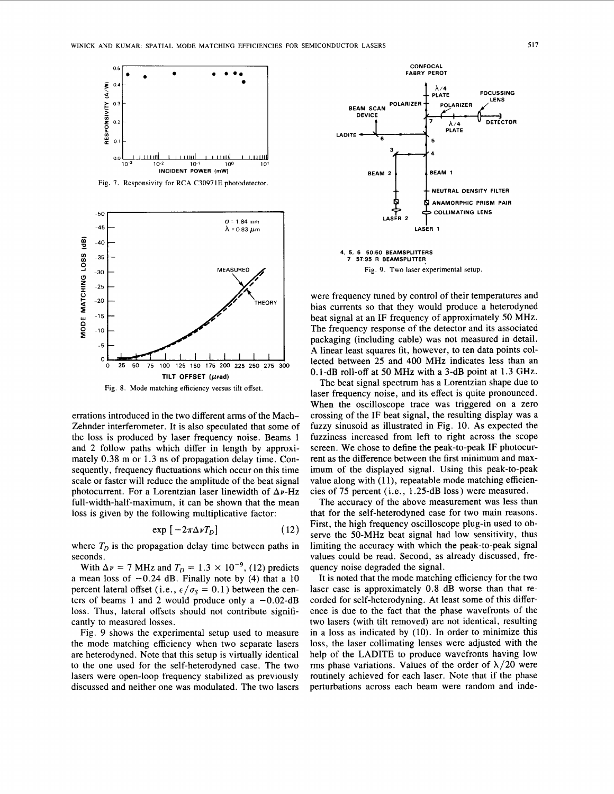<span id="page-4-0"></span>

**Fig. 7. Responsivity** for **RCA C30971E photodetector.** 



**Fig. 8.** Mode **matching efficiency versus tilt offset.** 

errations introduced in the two different arms of the Mach-Zehnder interferometer. It is also speculated that some of the loss is produced by laser frequency noise. Beams 1 and 2 follow paths which differ in length by approximately 0.38 m or 1.3 ns of propagation delay time. Consequently, frequency fluctuations which occur on this time scale or faster will reduce the amplitude of the beat signal photocurrent. For a Lorentzian laser linewidth of  $\Delta \nu$ -Hz full-width-half-maximum, it can be shown that the mean loss is given by the following multiplicative factor:

$$
\exp\left[-2\pi\Delta\nu T_D\right] \tag{12}
$$

where  $T_D$  is the propagation delay time between paths in seconds.

With  $\Delta \nu = 7$  MHz and  $T_D = 1.3 \times 10^{-9}$ , (12) predicts a mean loss of  $-0.24$  dB. Finally note by (4) that a 10 percent lateral offset (i.e.,  $\epsilon/\sigma_s = 0.1$ ) between the centers of beams 1 and 2 would produce only a  $-0.02$ -dB loss. Thus, lateral offsets should not contribute significantly to measured losses.

Fig. 9 shows the experimental setup used to measure the mode matching efficiency when two separate lasers are heterodyned. Note that this setup is virtually identical to the one used for the self-heterodyned case. The two lasers were open-loop frequency stabilized as previously discussed and neither one was modulated. The two lasers



were frequency tuned by control of their temperatures and bias currents so that they would produce a heterodyned beat signal at an IF frequency of approximately 50 MHz. The frequency response of the detector and its associated packaging (including cable) was not measured in detail. A linear least squares fit, however, to ten data points collected between *25* and 400 MHz indicates less than an 0.1-dB roll-off at 50 MHz with a 3-dB point at 1.3 GHz.

The beat signal spectrum has a Lorentzian shape due to laser frequency noise, and its effect is quite pronounced. When the oscilloscope trace was triggered on a zero crossing of the IF beat signal, the resulting display was a fuzzy sinusoid as illustrated in [Fig. 10.](#page-5-0) **As** expected the fuzziness increased from left to right across the scope screen. We chose to define the peak-to-peak IF photocurrent as the difference between the first minimum and maximum of the displayed signal. Using this peak-to-peak value along with (11), repeatable mode matching efficiencies of 75 percent (i.e., 1.25-dB loss) were measured.

The accuracy of the above measurement was less than that for the self-heterodyned case for two main reasons. First, the high frequency oscilloscope plug-in used to observe the 50-MHz beat signal had low sensitivity, thus limiting the accuracy with which the peak-to-peak signal values could be read. Second, as already discussed, frequency noise degraded the signal.

It is noted that the mode matching efficiency for the two laser case is approximately 0.8 dB worse than that recorded for self-heterodyning. At least some of this difference is due to the fact that the phase wavefronts of the two lasers (with tilt removed) are not identical, resulting in a loss as indicated by (10). In order to minimize this loss, the laser collimating lenses were adjusted with the help of the LADITE to produce wavefronts having low rms phase variations. Values of the order of  $\lambda/20$  were routinely achieved for each laser. Note that if the phase perturbations across each beam were random and inde-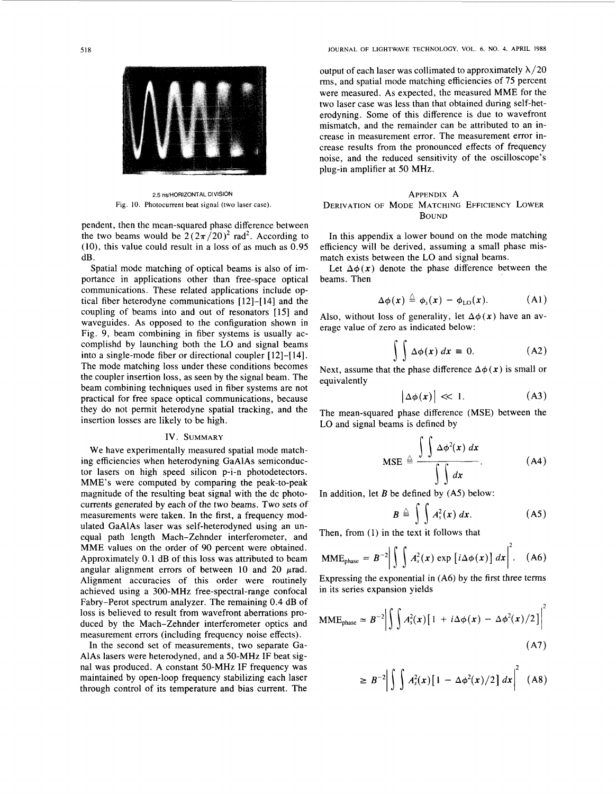

2.5 ns/HORIZONTAL DIVISION Fig. **10. Photocurrent beat signal (two laser case)** 

pendent, then the mean-squared phase difference between the two beams would be  $2(2\pi/20)^2$  rad<sup>2</sup>. According to  $(10)$ , this value could result in a loss of as much as  $0.95$ dB .

Spatial mode matching of optical beams is also of importance in applications other than free-space optical communications. These related applications include optical fiber heterodyne communications [ 121-[ 141 and the coupling of beams into and out of resonators [15] and waveguides. As opposed to the configuration shown in Fig. 9, beam combining in fiber systems is usually accomplishd by launching both the LO and signal beams into a single-mode fiber or directional coupler [ 121-[ 141. The mode matching loss under these conditions becomes the coupler insertion loss, as seen by the signal beam. The beam combining techniques used in fiber systems are not practical for free space optical communications, because they do not permit heterodyne spatial tracking, and the insertion losses are likely to be high.

## **IV.** SUMMARY

We have experimentally measured spatial mode matching efficiencies when heterodyning GaAlAs semiconductor lasers on high speed silicon p-i-n photodetectors. MME's were computed by comparing the peak-to-peak magnitude of the resulting beat signal with the dc photocurrents generated by each of the two beams. Two sets **of**  measurements were taken. In the first, a frequency modulated GaAlAs laser was self-heterodyned using an unequal path length Mach-Zehnder interferometer, and MME values on the order of 90 percent were obtained. Approximately 0.1 dB of this loss was attributed to beam angular alignment errors of between  $10$  and  $20$   $\mu$ rad. Alignment accuracies of this order were routinely achieved using a 300-MHz free-spectral-range confocal Fabry-Perot spectrum analyzer. The remaining 0.4 dB of loss is believed to result from wavefront aberrations produced by the Mach-Zehnder interferometer optics and measurement errors (including frequency noise effects).

In the second set of measurements, two separate Ga-AlAs lasers were heterodyned, and a 50-MHz IF beat signal was produced. A constant 50-MHz IF frequency was maintained by open-loop frequency stabilizing each laser through control of its temperature and bias current. The

<span id="page-5-0"></span>**518 JOURNAL OF LIGHTWAVE TECHNOLOGY, VOL. 6, NO. 4, APRIL 1988** 

output of each laser was collimated to approximately  $\lambda/20$ rms, and spatial mode matching efficiencies of 75 percent were measured. As expected, the measured MME for the two laser case was less than that obtained during self-heterodyning. Some of this difference is due to wavefront mismatch, and the remainder can be attributed to an increase in measurement error. The measurement error increase results from the pronounced effects of frequency noise, and the reduced sensitivity of the oscilloscope's plug-in amplifier at 50 MHz.

# APPENDIX A DERIVATION OF MODE MATCHING EFFICIENCY LOWER BOUND

In this appendix a lower bound on the mode matching efficiency will be derived, assuming a small phase mismatch exists between the LO and signal beams.

Let  $\Delta\phi(x)$  denote the phase difference between the beams. Then

$$
\Delta \phi(x) \stackrel{\triangle}{=} \phi_s(x) - \phi_{\text{LO}}(x). \tag{A1}
$$

Also, without loss of generality, let  $\Delta\phi(x)$  have an average value of zero as indicated below:

$$
\int \int \Delta \phi(x) dx = 0. \tag{A2}
$$

Next, assume that the phase difference  $\Delta\phi(x)$  is small or equivalently

$$
\left|\Delta\phi(x)\right| \ll 1. \tag{A3}
$$

The mean-squared phase difference (MSE) between the LO and signal beams is defined by

$$
\text{MSE} \triangleq \frac{\int \int \Delta \phi^2(x) \, dx}{\int \int dx}.
$$
 (A4)

In addition, let *B* be defined by (A5) below:

$$
B \triangleq \int \int A_s^2(x) \ dx. \tag{A5}
$$

Then, from (I) in the text it follows that

$$
MME_{phase} = B^{-2} \left| \int \int A_s^2(x) \exp \left[ i \Delta \phi(x) \right] dx \right|^2. \quad (A6)
$$

Expressing the exponential in (A6) by the first three terms in its series expansion yields

$$
\text{MME}_{\text{phase}} \simeq B^{-2} \left| \int \int A_s^2(x) \left[ 1 + i \Delta \phi(x) - \Delta \phi^2(x) / 2 \right] \right|^2 \tag{A7}
$$

$$
\geq B^{-2} \left| \int \int A_s^2(x) \left[ 1 - \Delta \phi^2(x) / 2 \right] dx \right|^2 \quad (A8)
$$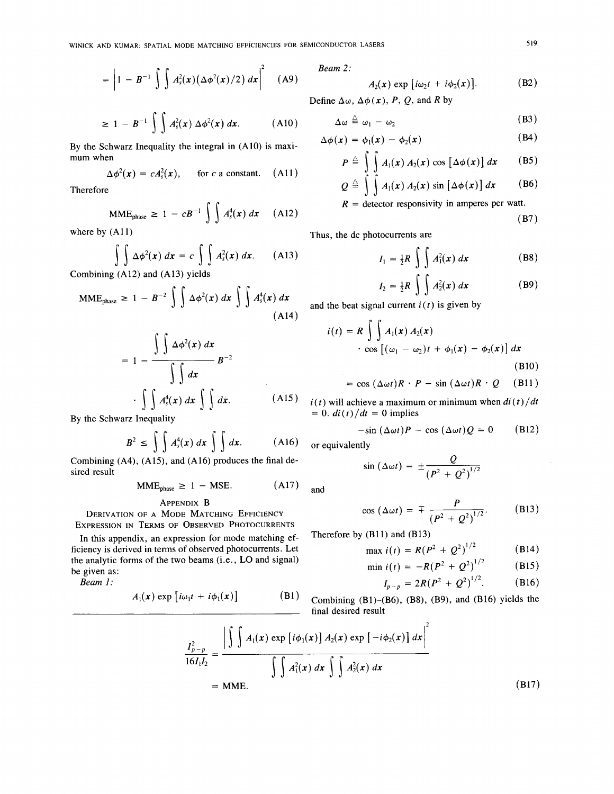$$
= \left|1 - B^{-1}\int \int A_s^2(\mathbf{x})\big(\Delta \phi^2(\mathbf{x})/2\big) d\mathbf{x}\right|^2 \quad \text{(A9)}
$$

$$
\geq 1 - B^{-1} \int \int A_s^2(x) \, \Delta \phi^2(x) \, dx. \tag{A10}
$$

By the Schwarz Inequality the integral in (A10) is maxi-<br>mum when

$$
\Delta \phi^2(\mathbf{x}) = c A_s^2(\mathbf{x}), \quad \text{for } c \text{ a constant.} \quad (A11)
$$

$$
MME_{\text{phase}} \ge 1 - cB^{-1} \int \int A_s^4(x) dx \quad (A12)
$$
\n
$$
R = \text{detector responsibility in amperes per Watt.}
$$
\n(B7)

$$
\int \int \Delta \phi^2(x) dx = c \int \int A_s^2(x) dx.
$$
 (A13)

Combining (A12) and (A13) yields

$$
\text{MME}_{\text{phase}} \geq 1 - B^{-2} \int \int \Delta \phi^2(x) \, dx \int \int A_s^4(x) \, dx \tag{A14}
$$

$$
= 1 - \frac{\int \int \Delta \phi^{2}(x) dx}{\int \int dx} B^{-2}
$$

$$
\cdot \int \int A_{s}^{4}(x) dx \int \int dx.
$$
 (A15)

By the Schwarz Inequality

$$
B2 \le \int \int As4(x) dx \int \int dx.
$$
 (A16)

Combining (A4), (A15), and (A16) produces the final desired result<br>  $MME_{phase} \ge 1 - MSE.$  (A17) and sired result

$$
MME_{phase} \ge 1 - MSE. \tag{A17}
$$

**APPENDIX B**<br>**MODE MATCHING FEEICIENCY** C **DERIVATION OF A MODE MATCHING EFFICIENCY EXPRESSION IN TERMS** OF **OBSERVED PHOTOCURRENTS** 

In this appendix, an expression for mode matching efthe analytic forms of the two beams (i.e., **LO** and signal) be given as: ficiency is derived in terms of observed photocurrents. Let  $\max_i (t) = R(P^2 + Q^2)^{1/2}$ 

$$
A_1(x) \exp \left[i\omega_1 t + i\phi_1(x)\right] \qquad \qquad \textbf{(B1)}
$$

Beam 2:

$$
A_2(x) \exp [i\omega_2 t + i\phi_2(x)]. \qquad (B2)
$$

Define  $\Delta\omega$ ,  $\Delta\phi(x)$ , *P*, *Q*, and *R* by

$$
\Delta \omega \triangleq \omega_1 - \omega_2 \tag{B3}
$$

$$
\Delta \phi(x) = \phi_1(x) - \phi_2(x) \tag{B4}
$$

mum when  
\n
$$
\Delta \phi^2(\mathbf{x}) = c A_s^2(\mathbf{x}), \quad \text{for } c \text{ a constant.} \quad \text{(A11)}
$$
\n
$$
P \triangleq \iint_{c} A_1(\mathbf{x}) A_2(\mathbf{x}) \cos \left[ \Delta \phi(\mathbf{x}) \right] d\mathbf{x} \quad \text{(B5)}
$$

Therefore  
\n
$$
Q \triangleq \int A_1(x) A_2(x) \sin [\Delta \phi(x)] dx
$$
\n(B6)  
\n
$$
R = \text{detector responsibility in amperes per wat.}
$$

$$
(R7)
$$

where by (A11) **Thus, the dc photocurrents are** 

$$
I_1 = \frac{1}{2}R \int \int A_1^2(x) dx
$$
 (B8)

$$
I_2 = \frac{1}{2}R \int \int A_2^2(x) dx
$$
 (B9)

and the beat signal current  $i(t)$  is given by

$$
i(t) = R \int \int A_1(x) A_2(x)
$$
  
 
$$
\cdot \cos [(\omega_1 - \omega_2)t + \phi_1(x) - \phi_2(x)] dx
$$
  
(B10)

$$
= \cos (\Delta \omega t) R \cdot P - \sin (\Delta \omega t) R \cdot Q \quad (B11)
$$

 $i(t)$  will achieve a maximum or minimum when  $di(t)/dt$  $= 0.$  *di(t)/dt* = 0 implies

$$
-\sin(\Delta \omega t)P - \cos(\Delta \omega t)Q = 0
$$
 (B12)

or equivalently

$$
\sin\left(\Delta\omega t\right)=\pm\frac{Q}{\left(P^2+Q^2\right)^{1/2}}
$$

$$
\cos\left(\Delta\omega t\right)=\mp\frac{P}{\left(P^2+Q^2\right)^{1/2}}.\qquad\qquad\text{(B13)}
$$

Therefore by **(B1l)** and **(B13)** 

$$
\max i(t) = R(P^2 + Q^2)^{1/2} \tag{B14}
$$

$$
\min i(t) = -R(P^2 + Q^2)^{1/2} \quad \text{(B15)}
$$

*Beam 1:* 
$$
I_{p-p} = 2R(P^2 + Q^2)^{1/2}.
$$
 (B16)

Combining (B1)-(B6), (B8), (B9), and (B16) yields the final desired result

$$
\frac{I_{p-p}^2}{16I_1I_2} = \frac{\left|\int\int A_1(x) \exp[i\phi_1(x)] A_2(x) \exp[-i\phi_2(x)] dx\right|^2}{\int\int A_1^2(x) dx \int\int A_2^2(x) dx}
$$
\n= MIME. (B17)